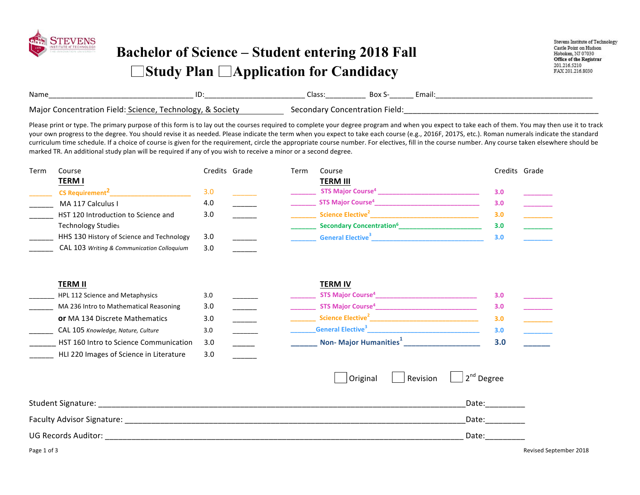

## **Bachelor of Science – Student entering 2018 Fall Study Plan Application for Candidacy**

Stevens Institute of Technology Castle Point on Hudson Hoboken, NJ 07030 Office of the Registrar 201.216.5210 FAX 201.216.8030

| Name                                      | ID<br>________    | addol -<br>________ | вох<br>_________ | Email: |
|-------------------------------------------|-------------------|---------------------|------------------|--------|
| Major<br><b>IPIU</b><br>.cience<br>oncen. | ociet<br>,,,<br>. | nnr                 | 1010<br>iciu     |        |

Please print or type. The primary purpose of this form is to lay out the courses required to complete your degree program and when you expect to take each of them. You may then use it to track your own progress to the degree. You should revise it as needed. Please indicate the term when you expect to take each course (e.g., 2016F, 2017S, etc.). Roman numerals indicate the standard curriculum time schedule. If a choice of course is given for the requirement, circle the appropriate course number. For electives, fill in the course number. Any course taken elsewhere should be marked TR. An additional study plan will be required if any of you wish to receive a minor or a second degree.

| Term | Course                                     |     | Credits Grade | Гerm | Course                                      |     | Credits Grade |
|------|--------------------------------------------|-----|---------------|------|---------------------------------------------|-----|---------------|
|      | <u>TERM I</u>                              |     |               |      | <b>TERM III</b>                             |     |               |
|      | <b>CS Requirement<sup>2</sup></b>          | 3.0 |               |      | <b>STS Major Course</b> <sup>4</sup>        | 3.0 |               |
|      | MA 117 Calculus I                          | 4.0 |               |      | <b>STS Major Course<sup>4</sup></b>         | 3.0 |               |
|      | HST 120 Introduction to Science and        | 3.0 |               |      | Science Elective <sup>2</sup>               | 3.0 |               |
|      | <b>Technology Studies</b>                  |     |               |      | <b>Secondary Concentration</b> <sup>6</sup> | 3.0 |               |
|      | HHS 130 History of Science and Technology  | 3.0 |               |      | <b>General Elective</b> <sup>3</sup>        | 3.0 |               |
|      | CAL 103 Writing & Communication Colloguium | 3.0 |               |      |                                             |     |               |

| <b>TERM II</b> |                                         |     |  | <b>TERM IV</b>                            |     |  |
|----------------|-----------------------------------------|-----|--|-------------------------------------------|-----|--|
|                | HPL 112 Science and Metaphysics         | 3.0 |  | <b>STS Major Course<sup>4</sup></b>       | 3.0 |  |
|                | MA 236 Intro to Mathematical Reasoning  | 3.0 |  | <b>STS Major Course<sup>4</sup></b>       | 3.0 |  |
|                | <b>or</b> MA 134 Discrete Mathematics   | 3.0 |  | Science Elective <sup>2</sup>             | 3.0 |  |
|                | CAL 105 Knowledge, Nature, Culture      | 3.0 |  | <b>General Elective</b> <sup>3</sup>      | 3.0 |  |
|                | HST 160 Intro to Science Communication  | 3.0 |  | <b>Non- Major Humanities</b> <sup>+</sup> | 3.0 |  |
|                | HLI 220 Images of Science in Literature | 3.0 |  |                                           |     |  |

|                            | Original | Revision $\ $ $\ $ $2^{nd}$ Degree |
|----------------------------|----------|------------------------------------|
| Student Signature:         |          | Date:                              |
| Faculty Advisor Signature: |          | Date:                              |
| <b>UG Records Auditor:</b> |          | Date:                              |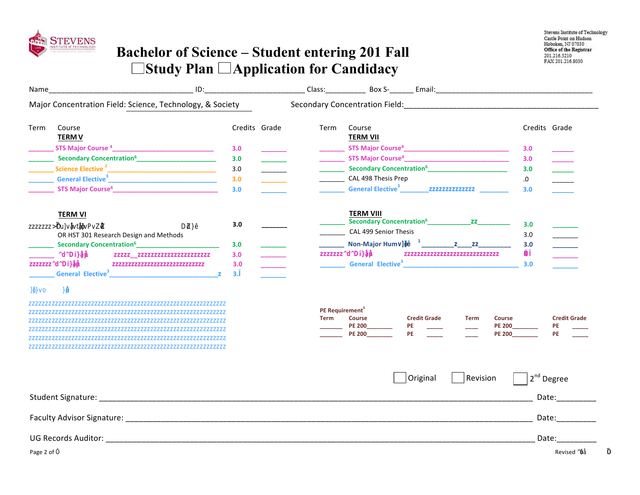

## **Bachelor of Science – Student entering 201 Fall**  □Study Plan □ Application for Candidacy

| Name        |                                                                                                                                                                                                                                |                  |                                            |                                                 |                                                                                                         |             |                                                 |                                      |                                                                                                                                                                                                                                |
|-------------|--------------------------------------------------------------------------------------------------------------------------------------------------------------------------------------------------------------------------------|------------------|--------------------------------------------|-------------------------------------------------|---------------------------------------------------------------------------------------------------------|-------------|-------------------------------------------------|--------------------------------------|--------------------------------------------------------------------------------------------------------------------------------------------------------------------------------------------------------------------------------|
|             | Major Concentration Field: Science, Technology, & Society                                                                                                                                                                      |                  |                                            |                                                 |                                                                                                         |             |                                                 |                                      |                                                                                                                                                                                                                                |
| Term        | Course<br><b>TERM V</b>                                                                                                                                                                                                        | Credits Grade    | Term                                       | Course<br><b>TERM VII</b>                       |                                                                                                         |             |                                                 | Credits Grade                        |                                                                                                                                                                                                                                |
|             | <b>NOTS Major Course 4</b> 2                                                                                                                                                                                                   | 3.0              |                                            |                                                 |                                                                                                         |             |                                                 | 3.0                                  |                                                                                                                                                                                                                                |
|             | <b>Execondary Concentration<sup>6</sup></b> _______________________________ 图                                                                                                                                                  | 3.0              |                                            |                                                 |                                                                                                         |             |                                                 | 3.0                                  |                                                                                                                                                                                                                                |
|             |                                                                                                                                                                                                                                | 3.0              |                                            |                                                 | <b>Becondary Concentration<sup>6</sup></b> __________________________________ <b>团</b>                  |             |                                                 | 3.0                                  |                                                                                                                                                                                                                                |
|             | General Elective <sup>3</sup>                                                                                                                                                                                                  | 3.0              |                                            | CAL 498 Thesis Prep                             |                                                                                                         |             |                                                 | 30                                   |                                                                                                                                                                                                                                |
|             |                                                                                                                                                                                                                                | 3.0              |                                            | <b>EGeneral Elective</b> <sup>3</sup>           |                                                                                                         |             |                                                 | 3.0                                  |                                                                                                                                                                                                                                |
|             | <b>TERM VI</b>                                                                                                                                                                                                                 |                  |                                            | <b>TERM VIII</b>                                | Becondary Concentration <sup>6</sup> 2                                                                  |             |                                                 |                                      |                                                                                                                                                                                                                                |
| <b>Ball</b> |                                                                                                                                                                                                                                | 3.0              |                                            | CAL 499 Senior Thesis                           |                                                                                                         |             |                                                 | 3.0                                  |                                                                                                                                                                                                                                |
|             | OR HST 301 Research Design and Methods                                                                                                                                                                                         |                  |                                            |                                                 | Non-Major Hum $\blacksquare$ $\blacksquare$ $\blacksquare$ $\blacksquare$ $\blacksquare$ $\blacksquare$ |             |                                                 | 3.0                                  |                                                                                                                                                                                                                                |
|             | Becondary Concentration <sup>6</sup> _______________________<br>$\mathbf{r}_{\mathbf{B}}$<br>E.                                                                                                                                | 3.0<br>3.0       |                                            |                                                 |                                                                                                         |             |                                                 | 3.0<br>$\overline{r}$ $\overline{r}$ |                                                                                                                                                                                                                                |
|             | $R_{\rm eff}$                                                                                                                                                                                                                  | 3.0 <sub>2</sub> |                                            |                                                 | <b>EGeneral Elective</b> <sup>3</sup> <b>EGENERAL EXECUTIVE EXECUTIVE</b>                               |             |                                                 | 3.0                                  |                                                                                                                                                                                                                                |
|             |                                                                                                                                                                                                                                | 3.E              |                                            |                                                 |                                                                                                         |             |                                                 |                                      |                                                                                                                                                                                                                                |
|             | 目                                                                                                                                                                                                                              |                  | PE Requirement <sup>5</sup><br><b>Term</b> | <b>Course</b><br><b>PE 200</b><br><b>PE 200</b> | <b>Credit Grade</b><br>PE<br><b>PE</b>                                                                  | <b>Term</b> | <b>Course</b><br><b>PE 200</b><br><b>PE 200</b> |                                      | <b>Credit Grade</b><br>PE<br><b>PE</b>                                                                                                                                                                                         |
|             | Student Signature: et al. 2010 and 2010 and 2010 and 2010 and 2010 and 2010 and 2010 and 2010 and 2010 and 201                                                                                                                 |                  |                                            |                                                 | Original                                                                                                | Revision    |                                                 | $2nd$ Degree                         | Date: 2004                                                                                                                                                                                                                     |
|             |                                                                                                                                                                                                                                |                  |                                            |                                                 |                                                                                                         |             |                                                 |                                      | Date: the control of the control of the control of the control of the control of the control of the control of the control of the control of the control of the control of the control of the control of the control of the co |
|             | UG Records Auditor: National Accords Auditor: National Accords Auditor: National Accords Auditor: National Accords Auditor: National Accords Auditor: National Accords Auditor: National Accords Auditor: National Accords Aud |                  |                                            |                                                 |                                                                                                         |             |                                                 | Date:                                |                                                                                                                                                                                                                                |
| Page 2 of ? |                                                                                                                                                                                                                                |                  |                                            |                                                 |                                                                                                         |             |                                                 |                                      | Revised <b>92</b>                                                                                                                                                                                                              |